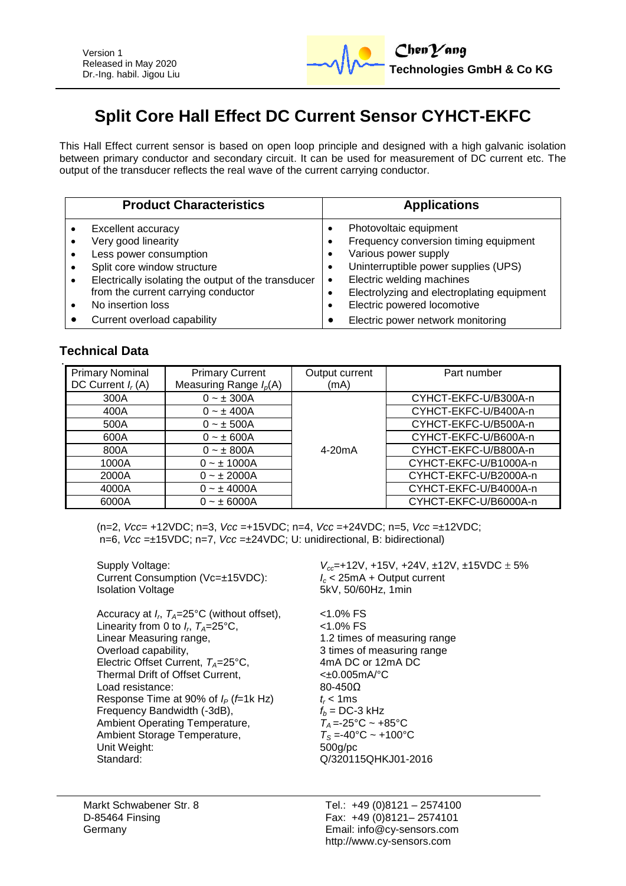

# **Split Core Hall Effect DC Current Sensor CYHCT-EKFC**

This Hall Effect current sensor is based on open loop principle and designed with a high galvanic isolation between primary conductor and secondary circuit. It can be used for measurement of DC current etc. The output of the transducer reflects the real wave of the current carrying conductor.

| <b>Product Characteristics</b>                                                                                                                                                                                                                         | <b>Applications</b>                                                                                                                                                                                                                                    |
|--------------------------------------------------------------------------------------------------------------------------------------------------------------------------------------------------------------------------------------------------------|--------------------------------------------------------------------------------------------------------------------------------------------------------------------------------------------------------------------------------------------------------|
| <b>Excellent accuracy</b><br>Very good linearity<br>Less power consumption<br>$\bullet$<br>Split core window structure<br>Electrically isolating the output of the transducer<br>$\bullet$<br>from the current carrying conductor<br>No insertion loss | Photovoltaic equipment<br>Frequency conversion timing equipment<br>Various power supply<br>Uninterruptible power supplies (UPS)<br>Electric welding machines<br>$\bullet$<br>Electrolyzing and electroplating equipment<br>Electric powered locomotive |
| Current overload capability                                                                                                                                                                                                                            | Electric power network monitoring                                                                                                                                                                                                                      |

## **Technical Data**

| <b>Primary Nominal</b><br>DC Current $I_r(A)$ | <b>Primary Current</b><br>Measuring Range $I_p(A)$ | Output current<br>(mA) | Part number           |
|-----------------------------------------------|----------------------------------------------------|------------------------|-----------------------|
| 300A                                          | $0 - \pm 300A$                                     |                        | CYHCT-EKFC-U/B300A-n  |
| 400A                                          | $0 - \pm 400A$                                     |                        | CYHCT-EKFC-U/B400A-n  |
| 500A                                          | $0 - \pm 500A$                                     |                        | CYHCT-EKFC-U/B500A-n  |
| 600A                                          | $0 - \pm 600A$                                     |                        | CYHCT-EKFC-U/B600A-n  |
| 800A                                          | $0 - \pm 800A$                                     | 4-20 <sub>m</sub> A    | CYHCT-EKFC-U/B800A-n  |
| 1000A                                         | $0 - \pm 1000A$                                    |                        | CYHCT-EKFC-U/B1000A-n |
| 2000A                                         | $0 - \pm 2000A$                                    |                        | CYHCT-EKFC-U/B2000A-n |
| 4000A                                         | $0 - \pm 4000A$                                    |                        | CYHCT-EKFC-U/B4000A-n |
| 6000A                                         | $0 - \pm 6000A$                                    |                        | CYHCT-EKFC-U/B6000A-n |

(n=2, *Vcc*= +12VDC; n=3, *Vcc* =+15VDC; n=4, *Vcc* =+24VDC; n=5, *Vcc* =±12VDC; n=6, *Vcc* =±15VDC; n=7, *Vcc* =±24VDC; U: unidirectional, B: bidirectional)

Current Consumption (Vc=±15VDC): Isolation Voltage 5kV, 50/60Hz, 1min

Accuracy at *I<sup>r</sup>* , *TA*=25°C (without offset), <1.0% FS Linearity from 0 to  $I_r$ ,  $T_A = 25^\circ \text{C}$ ,  $\leq 1.0\% \text{ FS}$ Linear Measuring range,<br>
Overload capability,<br>
2 times of measuring range<br>
3 times of measuring range Electric Offset Current, *T<sub>A</sub>*=25°C, 4mA DC or 12mA DC or 12mA DC or 12mA DC or 12mA Thermal Drift of Offset Current. Thermal Drift of Offset Current,  $\leftarrow 20.005$ n<br>Load resistance:  $80-450\Omega$ Load resistance: 80-450 $\Omega$ <br>Response Time at 90% of  $I_e$  ( $f=1$ k Hz)  $t < 1$ ms Response Time at 90% of  $I_P$  (*f*=1k Hz)  $t_r < 1$ ms<br>Frequency Bandwidth (-3dB),  $f_b = DC-3$  kHz Frequency Bandwidth (-3dB),  $f_b = DC-3$  kHz<br>Ambient Operating Temperature,  $T_A = -25^\circ C \sim +85^\circ C$ Ambient Operating Temperature,  $T_A = -25^{\circ}\text{C} \sim +85^{\circ}\text{C}$ <br>Ambient Storage Temperature.  $T_S = -40^{\circ}\text{C} \sim +100^{\circ}\text{C}$ Ambient Storage Temperature,  $T_S = -40^\circ$ <br>Unit Weight: 500g/pc Unit Weight: Standard: Q/320115QHKJ01-2016

Supply Voltage:<br>Current Consumption (Vc=±15VDC):<br> $V_{cc}$ =+12V, +15V, +24V, ±12V, ±15VDC ± 5%<br> $I_c$  < 25mA + Output current

3 times of measuring range<br>4mA DC or 12mA DC